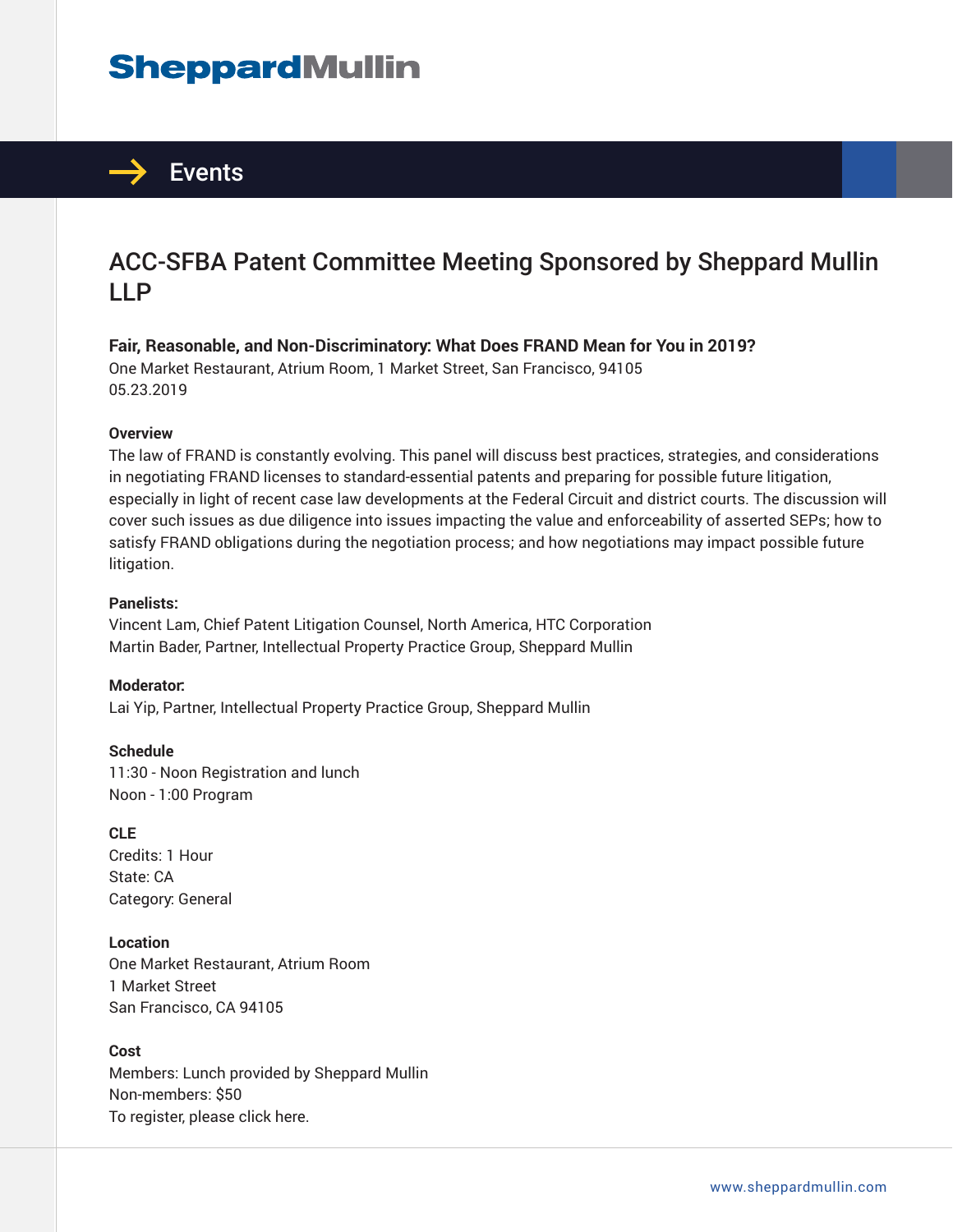## **SheppardMullin**



### ACC-SFBA Patent Committee Meeting Sponsored by Sheppard Mullin LLP

**Fair, Reasonable, and Non-Discriminatory: What Does FRAND Mean for You in 2019?**

One Market Restaurant, Atrium Room, 1 Market Street, San Francisco, 94105 05.23.2019

#### **Overview**

The law of FRAND is constantly evolving. This panel will discuss best practices, strategies, and considerations in negotiating FRAND licenses to standard-essential patents and preparing for possible future litigation, especially in light of recent case law developments at the Federal Circuit and district courts. The discussion will cover such issues as due diligence into issues impacting the value and enforceability of asserted SEPs; how to satisfy FRAND obligations during the negotiation process; and how negotiations may impact possible future litigation.

#### **Panelists:**

Vincent Lam, Chief Patent Litigation Counsel, North America, HTC Corporation Martin Bader, Partner, Intellectual Property Practice Group, Sheppard Mullin

**Moderator:** Lai Yip, Partner, Intellectual Property Practice Group, Sheppard Mullin

**Schedule**

11:30 - Noon Registration and lunch Noon - 1:00 Program

**CLE**

Credits: 1 Hour State: CA Category: General

**Location**

One Market Restaurant, Atrium Room 1 Market Street San Francisco, CA 94105

#### **Cost**

Members: Lunch provided by Sheppard Mullin Non-members: \$50 To register, please click here.